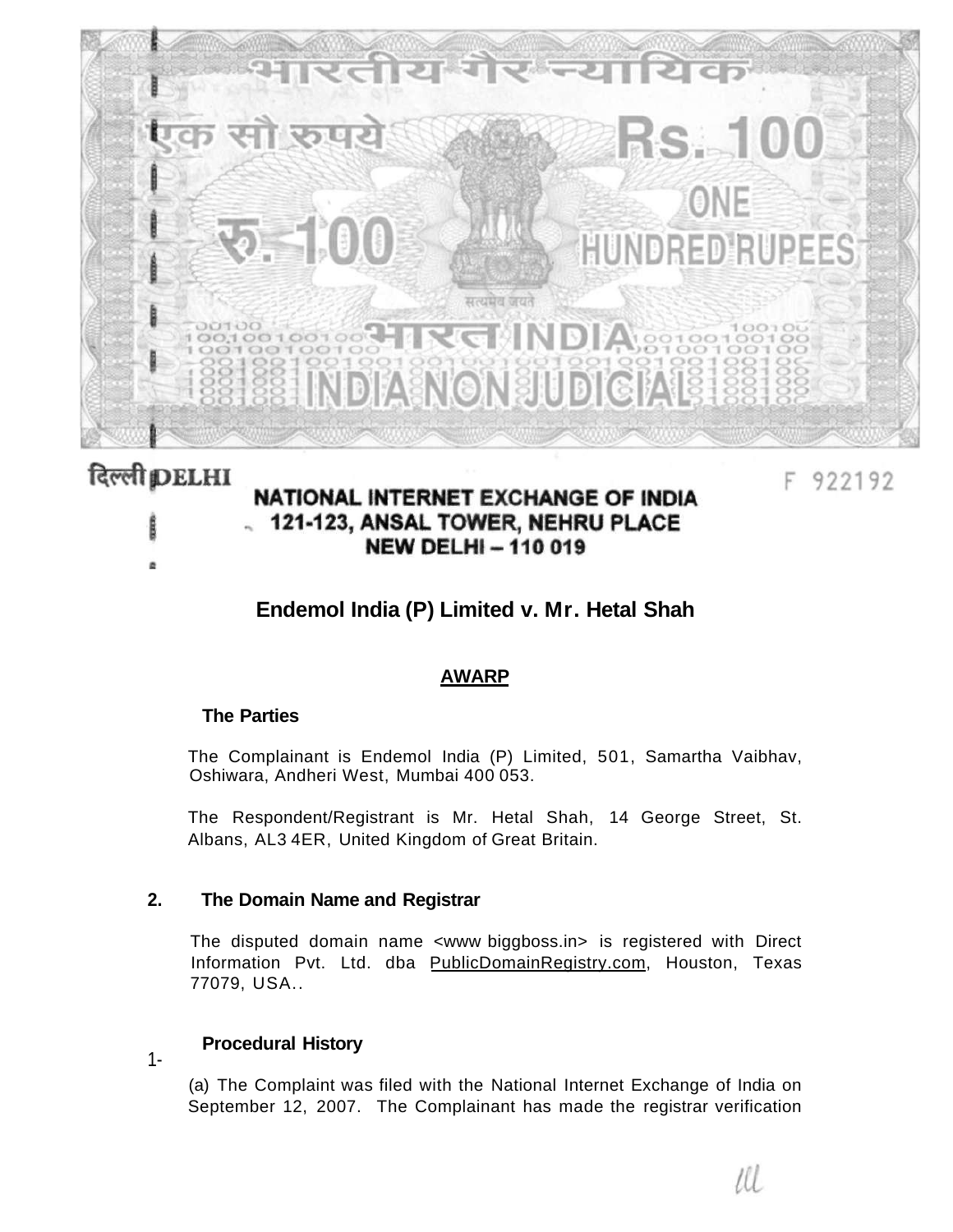

## दिल्ली **DELHI**

# NATIONAL INTERNET EXCHANGE OF INDIA . 121-123, ANSAL TOWER, NEHRU PLACE **NEW DELHI-110019**

F 922192

# **Endemol India (P) Limited v. Mr. Hetal Shah**

### **AWARP**

#### **The Parties**

The Complainant is Endemol India (P) Limited, 501, Samartha Vaibhav, Oshiwara, Andheri West, Mumbai 400 053.

The Respondent/Registrant is Mr. Hetal Shah, 14 George Street, St. Albans, AL3 4ER, United Kingdom of Great Britain.

#### **2. The Domain Name and Registrar**

**Procedural History** 

The disputed domain name <www biggboss.in> is registered with Direct Information Pvt. Ltd. dba [PublicDomainRegistry.com,](http://PublicDomainRegistry.com) Houston, Texas 77079, USA..

#### 1-

(a) The Complaint was filed with the National Internet Exchange of India on September 12, 2007. The Complainant has made the registrar verification

Ш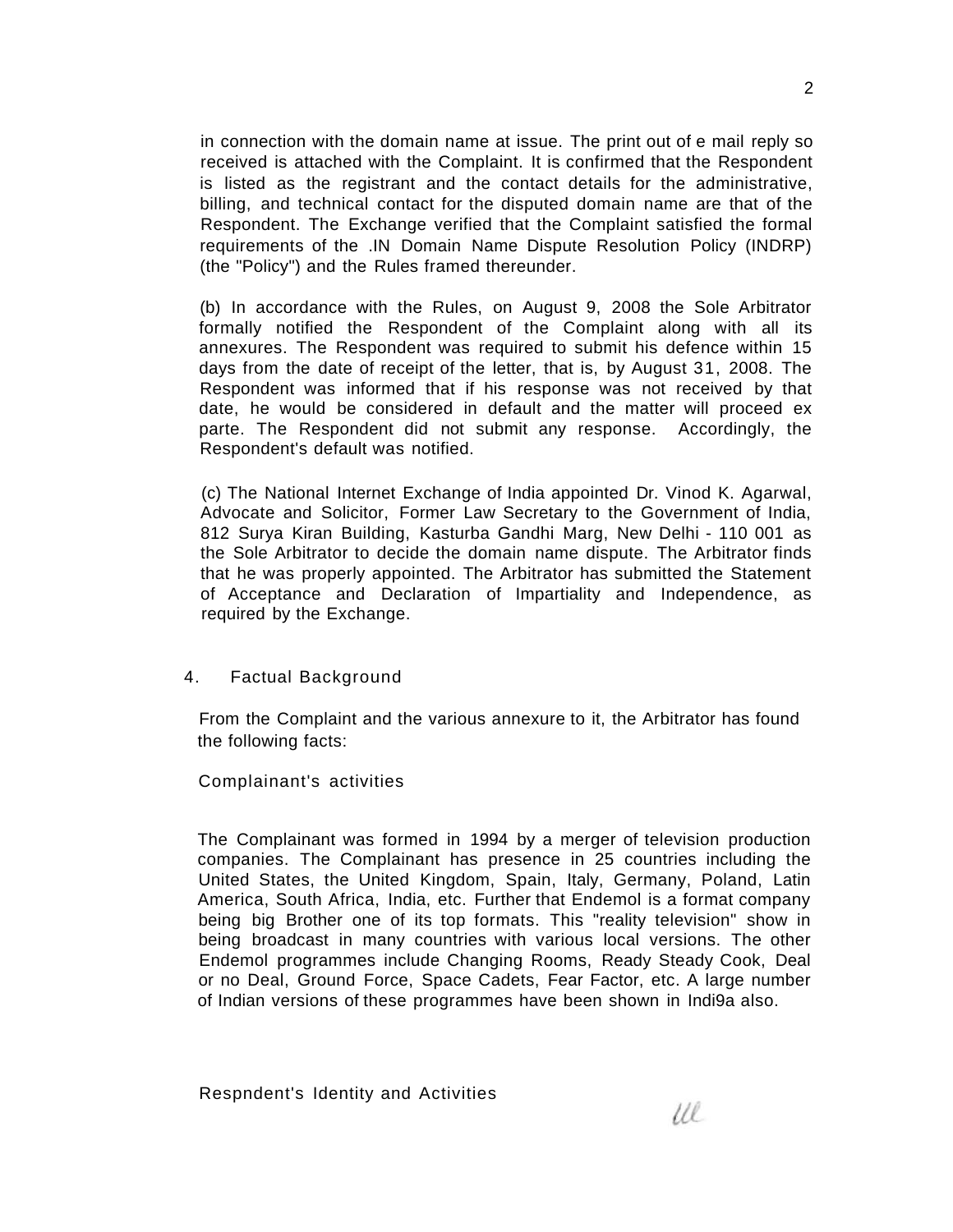in connection with the domain name at issue. The print out of e mail reply so received is attached with the Complaint. It is confirmed that the Respondent is listed as the registrant and the contact details for the administrative, billing, and technical contact for the disputed domain name are that of the Respondent. The Exchange verified that the Complaint satisfied the formal requirements of the .IN Domain Name Dispute Resolution Policy (INDRP) (the "Policy") and the Rules framed thereunder.

(b) In accordance with the Rules, on August 9, 2008 the Sole Arbitrator formally notified the Respondent of the Complaint along with all its annexures. The Respondent was required to submit his defence within 15 days from the date of receipt of the letter, that is, by August 31, 2008. The Respondent was informed that if his response was not received by that date, he would be considered in default and the matter will proceed ex parte. The Respondent did not submit any response. Accordingly, the Respondent's default was notified.

(c) The National Internet Exchange of India appointed Dr. Vinod K. Agarwal, Advocate and Solicitor, Former Law Secretary to the Government of India, 812 Surya Kiran Building, Kasturba Gandhi Marg, New Delhi - 110 001 as the Sole Arbitrator to decide the domain name dispute. The Arbitrator finds that he was properly appointed. The Arbitrator has submitted the Statement of Acceptance and Declaration of Impartiality and Independence, as required by the Exchange.

#### 4. Factual Background

From the Complaint and the various annexure to it, the Arbitrator has found the following facts:

Complainant's activities

The Complainant was formed in 1994 by a merger of television production companies. The Complainant has presence in 25 countries including the United States, the United Kingdom, Spain, Italy, Germany, Poland, Latin America, South Africa, India, etc. Further that Endemol is a format company being big Brother one of its top formats. This "reality television" show in being broadcast in many countries with various local versions. The other Endemol programmes include Changing Rooms, Ready Steady Cook, Deal or no Deal, Ground Force, Space Cadets, Fear Factor, etc. A large number of Indian versions of these programmes have been shown in Indi9a also.

Respndent's Identity and Activities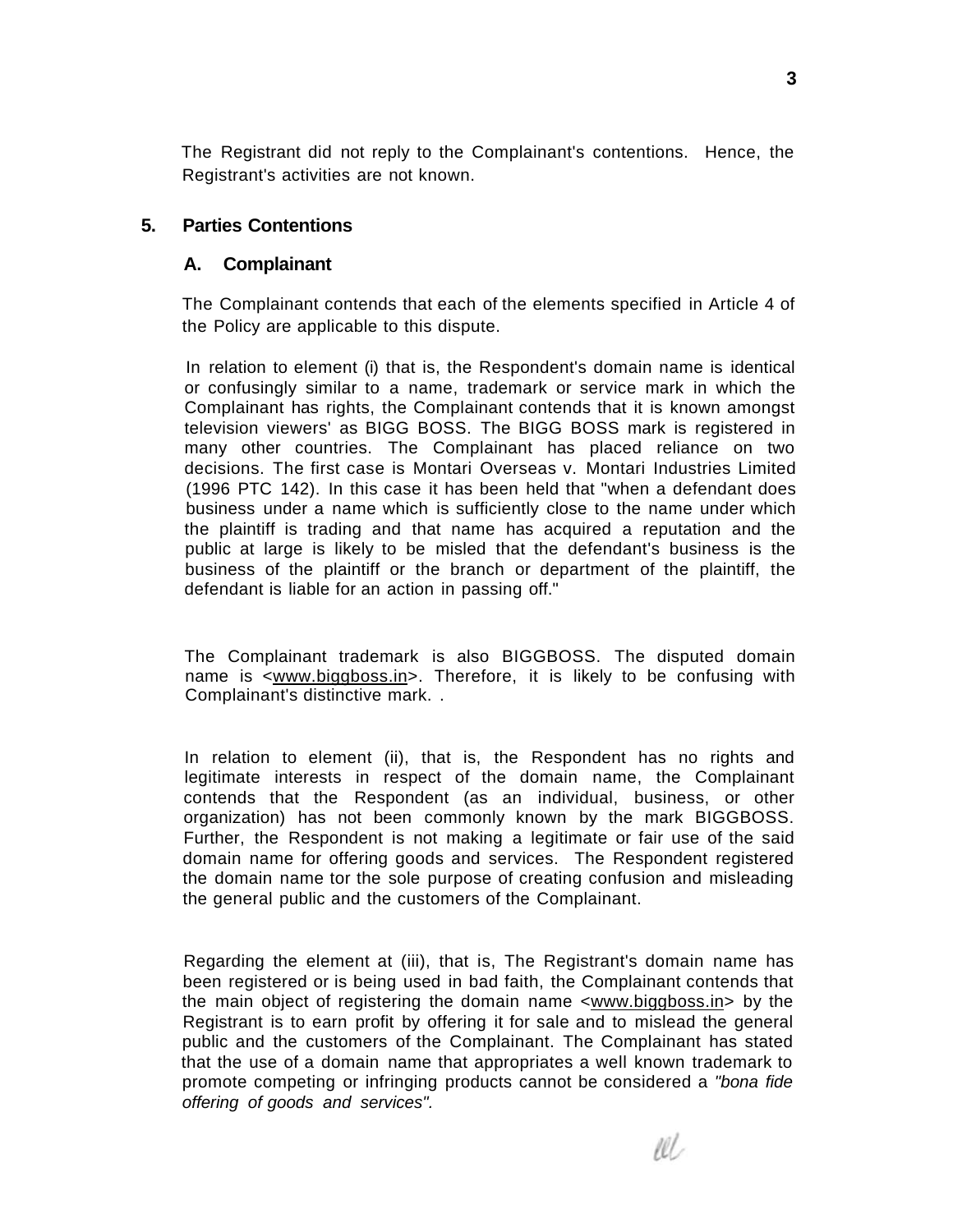The Registrant did not reply to the Complainant's contentions. Hence, the Registrant's activities are not known.

### **5. Parties Contentions**

#### **A. Complainant**

The Complainant contends that each of the elements specified in Article 4 of the Policy are applicable to this dispute.

In relation to element (i) that is, the Respondent's domain name is identical or confusingly similar to a name, trademark or service mark in which the Complainant has rights, the Complainant contends that it is known amongst television viewers' as BIGG BOSS. The BIGG BOSS mark is registered in many other countries. The Complainant has placed reliance on two decisions. The first case is Montari Overseas v. Montari Industries Limited (1996 PTC 142). In this case it has been held that "when a defendant does business under a name which is sufficiently close to the name under which the plaintiff is trading and that name has acquired a reputation and the public at large is likely to be misled that the defendant's business is the business of the plaintiff or the branch or department of the plaintiff, the defendant is liable for an action in passing off."

The Complainant trademark is also BIGGBOSS. The disputed domain name is <[www.biggboss.in>](http://www.biggboss.in). Therefore, it is likely to be confusing with Complainant's distinctive mark. .

In relation to element (ii), that is, the Respondent has no rights and legitimate interests in respect of the domain name, the Complainant contends that the Respondent (as an individual, business, or other organization) has not been commonly known by the mark BIGGBOSS. Further, the Respondent is not making a legitimate or fair use of the said domain name for offering goods and services. The Respondent registered the domain name tor the sole purpose of creating confusion and misleading the general public and the customers of the Complainant.

Regarding the element at (iii), that is, The Registrant's domain name has been registered or is being used in bad faith, the Complainant contends that the main object of registering the domain name <[www.biggboss.in>](http://www.biggboss.in) by the Registrant is to earn profit by offering it for sale and to mislead the general public and the customers of the Complainant. The Complainant has stated that the use of a domain name that appropriates a well known trademark to promote competing or infringing products cannot be considered a "bona fide offering of goods and services".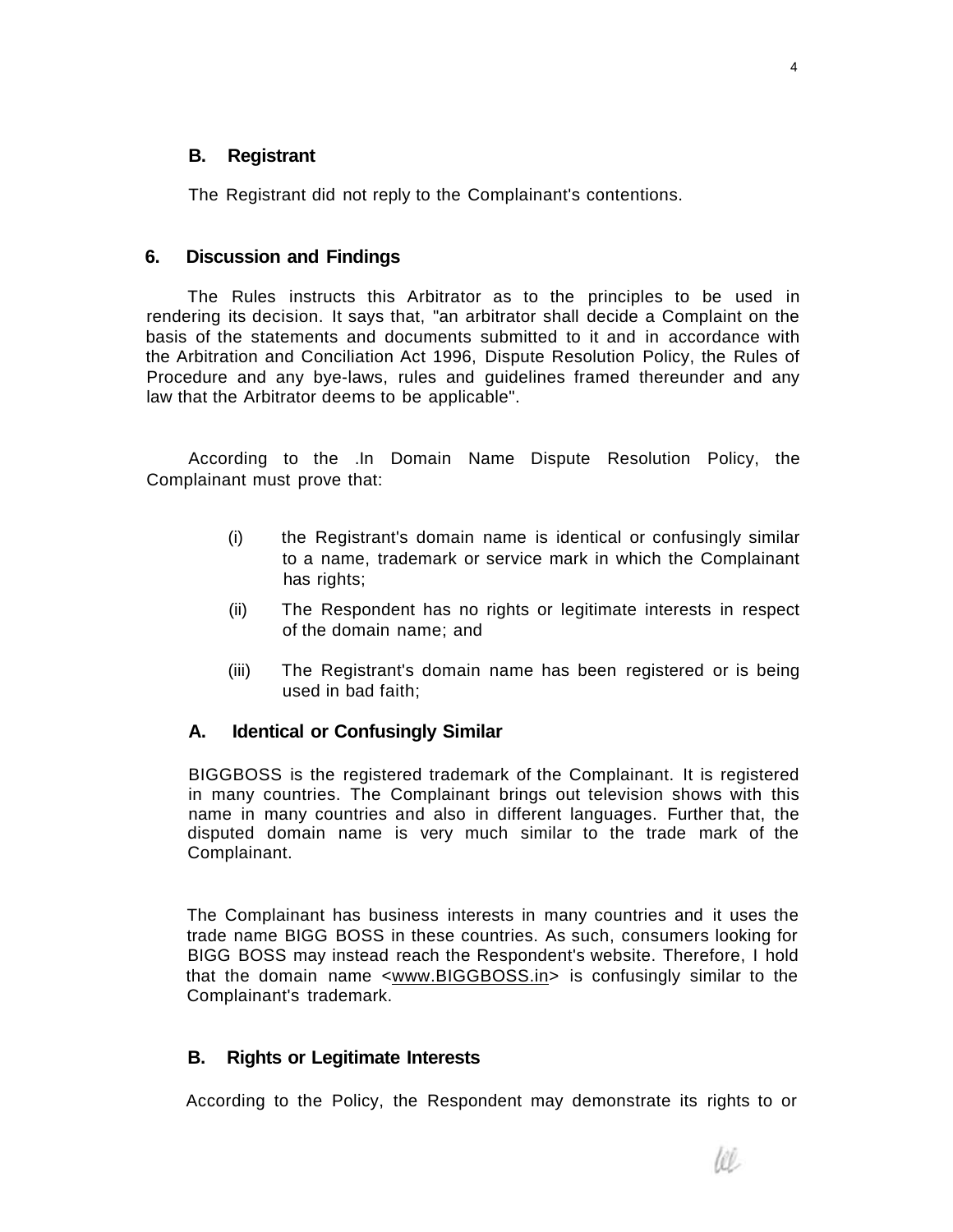#### **B. Registrant**

The Registrant did not reply to the Complainant's contentions.

#### **6. Discussion and Findings**

The Rules instructs this Arbitrator as to the principles to be used in rendering its decision. It says that, "an arbitrator shall decide a Complaint on the basis of the statements and documents submitted to it and in accordance with the Arbitration and Conciliation Act 1996, Dispute Resolution Policy, the Rules of Procedure and any bye-laws, rules and guidelines framed thereunder and any law that the Arbitrator deems to be applicable".

According to the .In Domain Name Dispute Resolution Policy, the Complainant must prove that:

- (i) the Registrant's domain name is identical or confusingly similar to a name, trademark or service mark in which the Complainant has rights;
- (ii) The Respondent has no rights or legitimate interests in respect of the domain name; and
- (iii) The Registrant's domain name has been registered or is being used in bad faith;

#### **A. Identical or Confusingly Similar**

BIGGBOSS is the registered trademark of the Complainant. It is registered in many countries. The Complainant brings out television shows with this name in many countries and also in different languages. Further that, the disputed domain name is very much similar to the trade mark of the Complainant.

The Complainant has business interests in many countries and it uses the trade name BIGG BOSS in these countries. As such, consumers looking for BIGG BOSS may instead reach the Respondent's website. Therefore, I hold that the domain name <[www.BIGGBOSS.in>](http://www.BIGGBOSS.in) is confusingly similar to the Complainant's trademark.

#### **B. Rights or Legitimate Interests**

According to the Policy, the Respondent may demonstrate its rights to or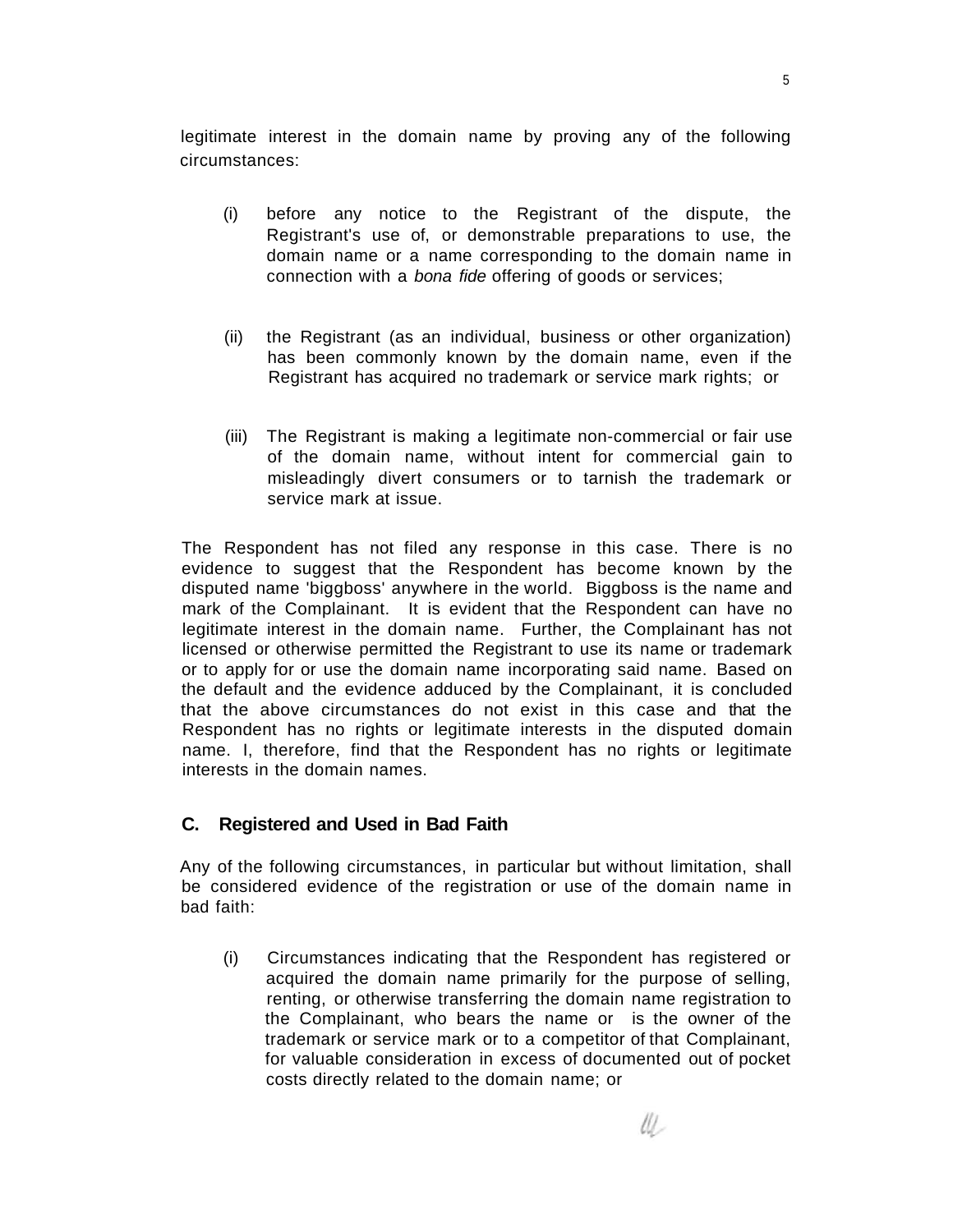legitimate interest in the domain name by proving any of the following circumstances:

- (i) before any notice to the Registrant of the dispute, the Registrant's use of, or demonstrable preparations to use, the domain name or a name corresponding to the domain name in connection with a bona fide offering of goods or services;
- (ii) the Registrant (as an individual, business or other organization) has been commonly known by the domain name, even if the Registrant has acquired no trademark or service mark rights; or
- (iii) The Registrant is making a legitimate non-commercial or fair use of the domain name, without intent for commercial gain to misleadingly divert consumers or to tarnish the trademark or service mark at issue.

The Respondent has not filed any response in this case. There is no evidence to suggest that the Respondent has become known by the disputed name 'biggboss' anywhere in the world. Biggboss is the name and mark of the Complainant. It is evident that the Respondent can have no legitimate interest in the domain name. Further, the Complainant has not licensed or otherwise permitted the Registrant to use its name or trademark or to apply for or use the domain name incorporating said name. Based on the default and the evidence adduced by the Complainant, it is concluded that the above circumstances do not exist in this case and that the Respondent has no rights or legitimate interests in the disputed domain name. I, therefore, find that the Respondent has no rights or legitimate interests in the domain names.

### **C. Registered and Used in Bad Faith**

Any of the following circumstances, in particular but without limitation, shall be considered evidence of the registration or use of the domain name in bad faith:

(i) Circumstances indicating that the Respondent has registered or acquired the domain name primarily for the purpose of selling, renting, or otherwise transferring the domain name registration to the Complainant, who bears the name or is the owner of the trademark or service mark or to a competitor of that Complainant, for valuable consideration in excess of documented out of pocket costs directly related to the domain name; or